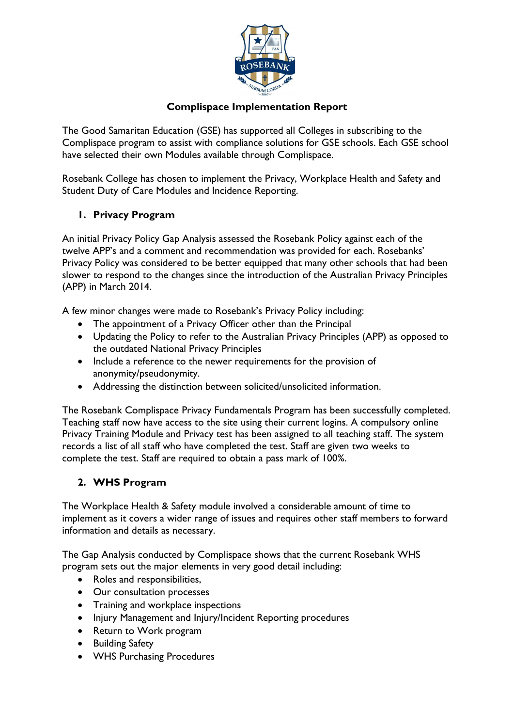

#### **Complispace Implementation Report**

The Good Samaritan Education (GSE) has supported all Colleges in subscribing to the Complispace program to assist with compliance solutions for GSE schools. Each GSE school have selected their own Modules available through Complispace.

Rosebank College has chosen to implement the Privacy, Workplace Health and Safety and Student Duty of Care Modules and Incidence Reporting.

## **1. Privacy Program**

An initial Privacy Policy Gap Analysis assessed the Rosebank Policy against each of the twelve APP's and a comment and recommendation was provided for each. Rosebanks' Privacy Policy was considered to be better equipped that many other schools that had been slower to respond to the changes since the introduction of the Australian Privacy Principles (APP) in March 2014.

A few minor changes were made to Rosebank's Privacy Policy including:

- The appointment of a Privacy Officer other than the Principal
- Updating the Policy to refer to the Australian Privacy Principles (APP) as opposed to the outdated National Privacy Principles
- Include a reference to the newer requirements for the provision of anonymity/pseudonymity.
- Addressing the distinction between solicited/unsolicited information.

The Rosebank Complispace Privacy Fundamentals Program has been successfully completed. Teaching staff now have access to the site using their current logins. A compulsory online Privacy Training Module and Privacy test has been assigned to all teaching staff. The system records a list of all staff who have completed the test. Staff are given two weeks to complete the test. Staff are required to obtain a pass mark of 100%.

## **2. WHS Program**

The Workplace Health & Safety module involved a considerable amount of time to implement as it covers a wider range of issues and requires other staff members to forward information and details as necessary.

The Gap Analysis conducted by Complispace shows that the current Rosebank WHS program sets out the major elements in very good detail including:

- Roles and responsibilities,
- Our consultation processes
- Training and workplace inspections
- Injury Management and Injury/Incident Reporting procedures
- Return to Work program
- **•** Building Safety
- WHS Purchasing Procedures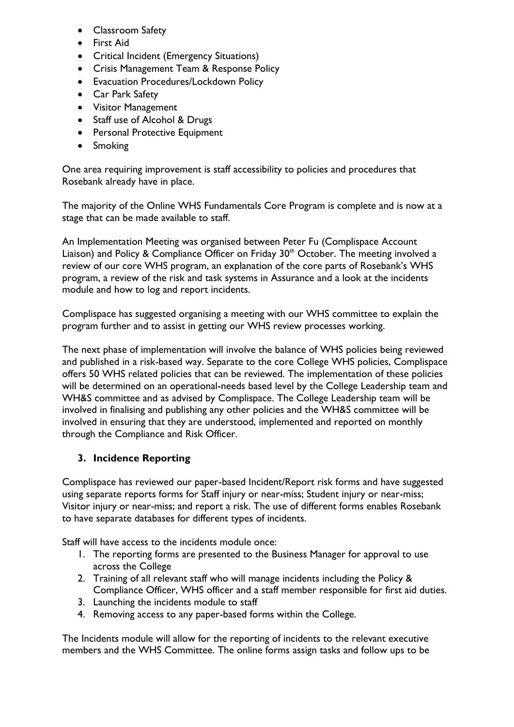- Classroom Safety
- First Aid
- Critical Incident (Emergency Situations)
- Crisis Management Team & Response Policy
- Evacuation Procedures/Lockdown Policy
- Car Park Safety
- Visitor Management
- Staff use of Alcohol & Drugs
- Personal Protective Equipment
- Smoking

One area requiring improvement is staff accessibility to policies and procedures that Rosebank already have in place.

The majority of the Online WHS Fundamentals Core Program is complete and is now at a stage that can be made available to staff.

An Implementation Meeting was organised between Peter Fu (Complispace Account Liaison) and Policy & Compliance Officer on Friday 30<sup>th</sup> October. The meeting involved a review of our core WHS program, an explanation of the core parts of Rosebank's WHS program, a review of the risk and task systems in Assurance and a look at the incidents module and how to log and report incidents.

Complispace has suggested organising a meeting with our WHS committee to explain the program further and to assist in getting our WHS review processes working.

The next phase of implementation will involve the balance of WHS policies being reviewed and published in a risk-based way. Separate to the core College WHS policies, Complispace offers 50 WHS related policies that can be reviewed. The implementation of these policies will be determined on an operational-needs based level by the College Leadership team and WH&S committee and as advised by Complispace. The College Leadership team will be involved in finalising and publishing any other policies and the WH&S committee will be involved in ensuring that they are understood, implemented and reported on monthly through the Compliance and Risk Officer.

## **3. Incidence Reporting**

Complispace has reviewed our paper-based Incident/Report risk forms and have suggested using separate reports forms for Staff injury or near-miss; Student injury or near-miss; Visitor injury or near-miss; and report a risk. The use of different forms enables Rosebank to have separate databases for different types of incidents.

Staff will have access to the incidents module once:

- 1. The reporting forms are presented to the Business Manager for approval to use across the College
- 2. Training of all relevant staff who will manage incidents including the Policy & Compliance Officer, WHS officer and a staff member responsible for first aid duties.
- 3. Launching the incidents module to staff
- 4. Removing access to any paper-based forms within the College.

The Incidents module will allow for the reporting of incidents to the relevant executive members and the WHS Committee. The online forms assign tasks and follow ups to be